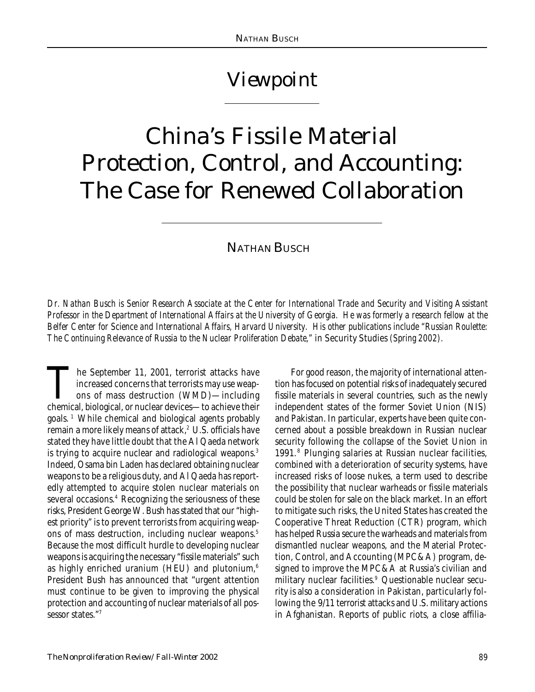# *Viewpoint*

# China's Fissile Material Protection, Control, and Accounting: The Case for Renewed Collaboration

# NATHAN BUSCH

*Dr. Nathan Busch is Senior Research Associate at the Center for International Trade and Security and Visiting Assistant Professor in the Department of International Affairs at the University of Georgia. He was formerly a research fellow at the Belfer Center for Science and International Affairs, Harvard University. His other publications include "Russian Roulette: The Continuing Relevance of Russia to the Nuclear Proliferation Debate,"* in Security Studies *(Spring 2002).*

The September 11, 2001, terrorist attacks have<br>increased concerns that terrorists may use weap-<br>ons of mass destruction (WMD)—including<br>chemical, biological, or nuclear devices—to achieve their The September 11, 2001, terrorist attacks have increased concerns that terrorists may use weapons of mass destruction (WMD)—including goals. 1 While chemical and biological agents probably remain a more likely means of attack,<sup>2</sup> U.S. officials have stated they have little doubt that the Al Qaeda network is trying to acquire nuclear and radiological weapons.<sup>3</sup> Indeed, Osama bin Laden has declared obtaining nuclear weapons to be a religious duty, and Al Qaeda has reportedly attempted to acquire stolen nuclear materials on several occasions.<sup>4</sup> Recognizing the seriousness of these risks, President George W. Bush has stated that our "highest priority" is to prevent terrorists from acquiring weapons of mass destruction, including nuclear weapons.<sup>5</sup> Because the most difficult hurdle to developing nuclear weapons is acquiring the necessary "fissile materials" such as highly enriched uranium (HEU) and plutonium, $6$ President Bush has announced that "urgent attention must continue to be given to improving the physical protection and accounting of nuclear materials of all possessor states."7

For good reason, the majority of international attention has focused on potential risks of inadequately secured fissile materials in several countries, such as the newly independent states of the former Soviet Union (NIS) and Pakistan. In particular, experts have been quite concerned about a possible breakdown in Russian nuclear security following the collapse of the Soviet Union in 1991.<sup>8</sup> Plunging salaries at Russian nuclear facilities, combined with a deterioration of security systems, have increased risks of loose nukes, a term used to describe the possibility that nuclear warheads or fissile materials could be stolen for sale on the black market. In an effort to mitigate such risks, the United States has created the Cooperative Threat Reduction (CTR) program, which has helped Russia secure the warheads and materials from dismantled nuclear weapons, and the Material Protection, Control, and Accounting (MPC&A) program, designed to improve the MPC&A at Russia's civilian and military nuclear facilities.<sup>9</sup> Questionable nuclear security is also a consideration in Pakistan, particularly following the 9/11 terrorist attacks and U.S. military actions in Afghanistan. Reports of public riots, a close affilia-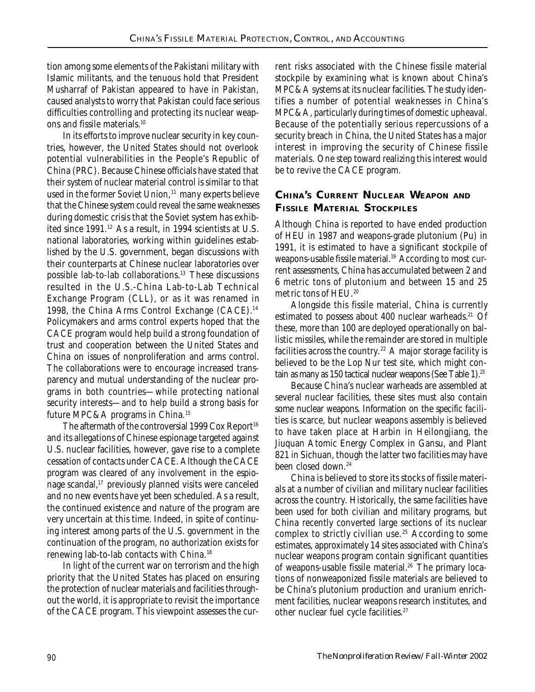tion among some elements of the Pakistani military with Islamic militants, and the tenuous hold that President Musharraf of Pakistan appeared to have in Pakistan, caused analysts to worry that Pakistan could face serious difficulties controlling and protecting its nuclear weapons and fissile materials.<sup>10</sup>

In its efforts to improve nuclear security in key countries, however, the United States should not overlook potential vulnerabilities in the People's Republic of China (PRC). Because Chinese officials have stated that their system of nuclear material control is similar to that used in the former Soviet Union,<sup>11</sup> many experts believe that the Chinese system could reveal the same weaknesses during domestic crisis that the Soviet system has exhibited since 1991.<sup>12</sup> As a result, in 1994 scientists at U.S. national laboratories, working within guidelines established by the U.S. government, began discussions with their counterparts at Chinese nuclear laboratories over possible lab-to-lab collaborations.13 These discussions resulted in the U.S.-China Lab-to-Lab Technical Exchange Program (CLL), or as it was renamed in 1998, the China Arms Control Exchange (CACE).<sup>14</sup> Policymakers and arms control experts hoped that the CACE program would help build a strong foundation of trust and cooperation between the United States and China on issues of nonproliferation and arms control. The collaborations were to encourage increased transparency and mutual understanding of the nuclear programs in both countries—while protecting national security interests—and to help build a strong basis for future MPC&A programs in China.<sup>15</sup>

The aftermath of the controversial 1999 Cox Report<sup>16</sup> and its allegations of Chinese espionage targeted against U.S. nuclear facilities, however, gave rise to a complete cessation of contacts under CACE. Although the CACE program was cleared of any involvement in the espionage scandal,<sup>17</sup> previously planned visits were canceled and no new events have yet been scheduled. As a result, the continued existence and nature of the program are very uncertain at this time. Indeed, in spite of continuing interest among parts of the U.S. government in the continuation of the program, no authorization exists for renewing lab-to-lab contacts with China.<sup>18</sup>

In light of the current war on terrorism and the high priority that the United States has placed on ensuring the protection of nuclear materials and facilities throughout the world, it is appropriate to revisit the importance of the CACE program. This viewpoint assesses the current risks associated with the Chinese fissile material stockpile by examining what is known about China's MPC&A systems at its nuclear facilities. The study identifies a number of potential weaknesses in China's MPC&A, particularly during times of domestic upheaval. Because of the potentially serious repercussions of a security breach in China, the United States has a major interest in improving the security of Chinese fissile materials. One step toward realizing this interest would be to revive the CACE program.

# **CHINA'S CURRENT NUCLEAR WEAPON AND FISSILE MATERIAL STOCKPILES**

Although China is reported to have ended production of HEU in 1987 and weapons-grade plutonium (Pu) in 1991, it is estimated to have a significant stockpile of weapons-usable fissile material.<sup>19</sup> According to most current assessments, China has accumulated between 2 and 6 metric tons of plutonium and between 15 and 25 metric tons of HEU.<sup>20</sup>

Alongside this fissile material, China is currently estimated to possess about 400 nuclear warheads.<sup>21</sup> Of these, more than 100 are deployed operationally on ballistic missiles, while the remainder are stored in multiple facilities across the country.<sup>22</sup> A major storage facility is believed to be the Lop Nur test site, which might contain as many as 150 tactical nuclear weapons (See Table 1).<sup>23</sup>

Because China's nuclear warheads are assembled at several nuclear facilities, these sites must also contain some nuclear weapons. Information on the specific facilities is scarce, but nuclear weapons assembly is believed to have taken place at Harbin in Heilongjiang, the Jiuquan Atomic Energy Complex in Gansu, and Plant 821 in Sichuan, though the latter two facilities may have been closed down.<sup>24</sup>

China is believed to store its stocks of fissile materials at a number of civilian and military nuclear facilities across the country. Historically, the same facilities have been used for both civilian and military programs, but China recently converted large sections of its nuclear complex to strictly civilian use. <sup>25</sup> According to some estimates, approximately 14 sites associated with China's nuclear weapons program contain significant quantities of weapons-usable fissile material.<sup>26</sup> The primary locations of nonweaponized fissile materials are believed to be China's plutonium production and uranium enrichment facilities, nuclear weapons research institutes, and other nuclear fuel cycle facilities.<sup>27</sup>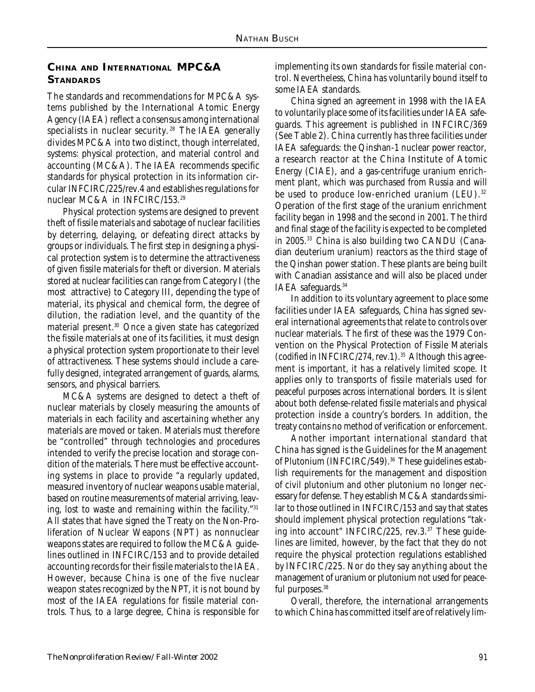#### **CHINA AND INTERNATIONAL MPC&A STANDARDS**

The standards and recommendations for MPC&A systems published by the International Atomic Energy Agency (IAEA) reflect a consensus among international specialists in nuclear security.<sup>28</sup> The IAEA generally divides MPC&A into two distinct, though interrelated, systems: physical protection, and material control and accounting (MC&A). The IAEA recommends specific standards for physical protection in its information circular INFCIRC/225/rev.4 and establishes regulations for nuclear MC&A in INFCIRC/153.<sup>29</sup>

Physical protection systems are designed to prevent theft of fissile materials and sabotage of nuclear facilities by deterring, delaying, or defeating direct attacks by groups or individuals. The first step in designing a physical protection system is to determine the attractiveness of given fissile materials for theft or diversion. Materials stored at nuclear facilities can range from Category I (the most attractive) to Category III, depending the type of material, its physical and chemical form, the degree of dilution, the radiation level, and the quantity of the material present.30 Once a given state has categorized the fissile materials at one of its facilities, it must design a physical protection system proportionate to their level of attractiveness. These systems should include a carefully designed, integrated arrangement of guards, alarms, sensors, and physical barriers.

MC&A systems are designed to detect a theft of nuclear materials by closely measuring the amounts of materials in each facility and ascertaining whether any materials are moved or taken. Materials must therefore be "controlled" through technologies and procedures intended to verify the precise location and storage condition of the materials. There must be effective accounting systems in place to provide "a regularly updated, measured inventory of nuclear weapons usable material, based on routine measurements of material arriving, leaving, lost to waste and remaining within the facility."<sup>31</sup> All states that have signed the Treaty on the Non-Proliferation of Nuclear Weapons (NPT) as nonnuclear weapons states are required to follow the MC&A guidelines outlined in INFCIRC/153 and to provide detailed accounting records for their fissile materials to the IAEA. However, because China is one of the five nuclear weapon states recognized by the NPT, it is not bound by most of the IAEA regulations for fissile material controls. Thus, to a large degree, China is responsible for

implementing its own standards for fissile material control. Nevertheless, China has voluntarily bound itself to some IAEA standards.

China signed an agreement in 1998 with the IAEA to voluntarily place some of its facilities under IAEA safeguards. This agreement is published in INFCIRC/369 (See Table 2). China currently has three facilities under IAEA safeguards: the Qinshan-1 nuclear power reactor, a research reactor at the China Institute of Atomic Energy (CIAE), and a gas-centrifuge uranium enrichment plant, which was purchased from Russia and will be used to produce low-enriched uranium (LEU).<sup>32</sup> Operation of the first stage of the uranium enrichment facility began in 1998 and the second in 2001. The third and final stage of the facility is expected to be completed in 2005.33 China is also building two CANDU (Canadian deuterium uranium) reactors as the third stage of the Qinshan power station. These plants are being built with Canadian assistance and will also be placed under IAEA safeguards.<sup>34</sup>

In addition to its voluntary agreement to place some facilities under IAEA safeguards, China has signed several international agreements that relate to controls over nuclear materials. The first of these was the 1979 Convention on the Physical Protection of Fissile Materials (codified in INFCIRC/274, rev.1).<sup>35</sup> Although this agreement is important, it has a relatively limited scope. It applies only to transports of fissile materials used for peaceful purposes across international borders. It is silent about both defense-related fissile materials and physical protection inside a country's borders. In addition, the treaty contains no method of verification or enforcement.

Another important international standard that China has signed is the Guidelines for the Management of Plutonium (INFCIRC/549).<sup>36</sup> These guidelines establish requirements for the management and disposition of civil plutonium and other plutonium no longer necessary for defense. They establish MC&A standards similar to those outlined in INFCIRC/153 and say that states should implement physical protection regulations "taking into account" INFCIRC/225, rev.3.37 These guidelines are limited, however, by the fact that they do not require the physical protection regulations established by INFCIRC/225. Nor do they say anything about the management of uranium or plutonium not used for peaceful purposes.<sup>38</sup>

Overall, therefore, the international arrangements to which China has committed itself are of relatively lim-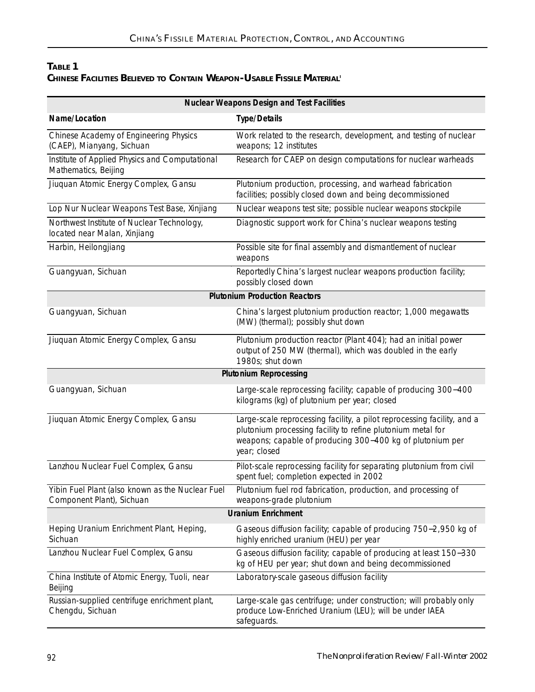#### **TABLE 1 CHINESE FACILITIES BELIEVED TO CONTAIN WEAPON-USABLE FISSILE MATERIAL<sup>I</sup>**

| <b>Nuclear Weapons Design and Test Facilities</b>                             |                                                                                                                                                                                                                     |  |  |
|-------------------------------------------------------------------------------|---------------------------------------------------------------------------------------------------------------------------------------------------------------------------------------------------------------------|--|--|
| Name/Location                                                                 | <b>Type/Details</b>                                                                                                                                                                                                 |  |  |
| Chinese Academy of Engineering Physics<br>(CAEP), Mianyang, Sichuan           | Work related to the research, development, and testing of nuclear<br>weapons; 12 institutes                                                                                                                         |  |  |
| Institute of Applied Physics and Computational<br>Mathematics, Beijing        | Research for CAEP on design computations for nuclear warheads                                                                                                                                                       |  |  |
| Jiuquan Atomic Energy Complex, Gansu                                          | Plutonium production, processing, and warhead fabrication<br>facilities; possibly closed down and being decommissioned                                                                                              |  |  |
| Lop Nur Nuclear Weapons Test Base, Xinjiang                                   | Nuclear weapons test site; possible nuclear weapons stockpile                                                                                                                                                       |  |  |
| Northwest Institute of Nuclear Technology,<br>located near Malan, Xinjiang    | Diagnostic support work for China's nuclear weapons testing                                                                                                                                                         |  |  |
| Harbin, Heilongjiang                                                          | Possible site for final assembly and dismantlement of nuclear<br>weapons                                                                                                                                            |  |  |
| Guangyuan, Sichuan                                                            | Reportedly China's largest nuclear weapons production facility;<br>possibly closed down                                                                                                                             |  |  |
| <b>Plutonium Production Reactors</b>                                          |                                                                                                                                                                                                                     |  |  |
| Guangyuan, Sichuan                                                            | China's largest plutonium production reactor; 1,000 megawatts<br>(MW) (thermal); possibly shut down                                                                                                                 |  |  |
| Jiuquan Atomic Energy Complex, Gansu                                          | Plutonium production reactor (Plant 404); had an initial power<br>output of 250 MW (thermal), which was doubled in the early<br>1980s; shut down                                                                    |  |  |
|                                                                               | <b>Plutonium Reprocessing</b>                                                                                                                                                                                       |  |  |
| Guangyuan, Sichuan                                                            | Large-scale reprocessing facility; capable of producing 300-400<br>kilograms (kg) of plutonium per year; closed                                                                                                     |  |  |
| Jiuquan Atomic Energy Complex, Gansu                                          | Large-scale reprocessing facility, a pilot reprocessing facility, and a<br>plutonium processing facility to refine plutonium metal for<br>weapons; capable of producing 300-400 kg of plutonium per<br>year; closed |  |  |
| Lanzhou Nuclear Fuel Complex, Gansu                                           | Pilot-scale reprocessing facility for separating plutonium from civil<br>spent fuel; completion expected in 2002                                                                                                    |  |  |
| Yibin Fuel Plant (also known as the Nuclear Fuel<br>Component Plant), Sichuan | Plutonium fuel rod fabrication, production, and processing of<br>weapons-grade plutonium                                                                                                                            |  |  |
|                                                                               | <b>Uranium Enrichment</b>                                                                                                                                                                                           |  |  |
| Heping Uranium Enrichment Plant, Heping,<br>Sichuan                           | Gaseous diffusion facility; capable of producing 750-2,950 kg of<br>highly enriched uranium (HEU) per year                                                                                                          |  |  |
| Lanzhou Nuclear Fuel Complex, Gansu                                           | Gaseous diffusion facility; capable of producing at least 150-330<br>kg of HEU per year; shut down and being decommissioned                                                                                         |  |  |
| China Institute of Atomic Energy, Tuoli, near<br>Beijing                      | Laboratory-scale gaseous diffusion facility                                                                                                                                                                         |  |  |
| Russian-supplied centrifuge enrichment plant,<br>Chengdu, Sichuan             | Large-scale gas centrifuge; under construction; will probably only<br>produce Low-Enriched Uranium (LEU); will be under IAEA<br>safeguards.                                                                         |  |  |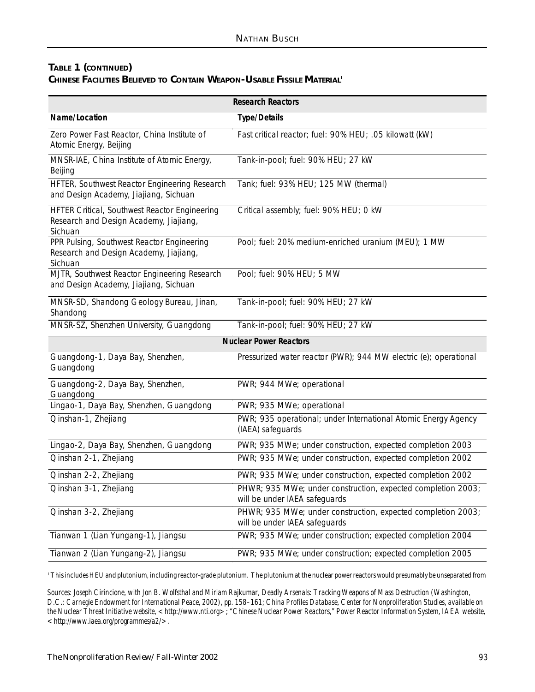#### **TABLE 1 (CONTINUED) CHINESE FACILITIES BELIEVED TO CONTAIN WEAPON-USABLE FISSILE MATERIAL<sup>I</sup>**

| <b>Research Reactors</b>                                                                           |                                                                                               |  |
|----------------------------------------------------------------------------------------------------|-----------------------------------------------------------------------------------------------|--|
| Name/Location                                                                                      | <b>Type/Details</b>                                                                           |  |
| Zero Power Fast Reactor, China Institute of<br>Atomic Energy, Beijing                              | Fast critical reactor; fuel: 90% HEU; .05 kilowatt (kW)                                       |  |
| MNSR-IAE, China Institute of Atomic Energy,<br>Beijing                                             | Tank-in-pool; fuel: 90% HEU; 27 kW                                                            |  |
| HFTER, Southwest Reactor Engineering Research<br>and Design Academy, Jiajiang, Sichuan             | Tank; fuel: 93% HEU; 125 MW (thermal)                                                         |  |
| HFTER Critical, Southwest Reactor Engineering<br>Research and Design Academy, Jiajiang,<br>Sichuan | Critical assembly; fuel: 90% HEU; 0 kW                                                        |  |
| PPR Pulsing, Southwest Reactor Engineering<br>Research and Design Academy, Jiajiang,<br>Sichuan    | Pool; fuel: 20% medium-enriched uranium (MEU); 1 MW                                           |  |
| MJTR, Southwest Reactor Engineering Research<br>and Design Academy, Jiajiang, Sichuan              | Pool; fuel: 90% HEU; 5 MW                                                                     |  |
| MNSR-SD, Shandong Geology Bureau, Jinan,<br>Shandong                                               | Tank-in-pool; fuel: 90% HEU; 27 kW                                                            |  |
| MNSR-SZ, Shenzhen University, Guangdong                                                            | Tank-in-pool; fuel: 90% HEU; 27 kW                                                            |  |
|                                                                                                    | <b>Nuclear Power Reactors</b>                                                                 |  |
| Guangdong-1, Daya Bay, Shenzhen,<br>Guangdong                                                      | Pressurized water reactor (PWR); 944 MW electric (e); operational                             |  |
| Guangdong-2, Daya Bay, Shenzhen,<br>Guangdong                                                      | PWR; 944 MWe; operational                                                                     |  |
| Lingao-1, Daya Bay, Shenzhen, Guangdong                                                            | PWR; 935 MWe; operational                                                                     |  |
| Qinshan-1, Zhejiang                                                                                | PWR; 935 operational; under International Atomic Energy Agency<br>(IAEA) safeguards           |  |
| Lingao-2, Daya Bay, Shenzhen, Guangdong                                                            | PWR; 935 MWe; under construction, expected completion 2003                                    |  |
| Qinshan 2-1, Zhejiang                                                                              | PWR; 935 MWe; under construction, expected completion 2002                                    |  |
| Qinshan 2-2, Zhejiang                                                                              | PWR; 935 MWe; under construction, expected completion 2002                                    |  |
| Qinshan 3-1, Zhejiang                                                                              | PHWR; 935 MWe; under construction, expected completion 2003;<br>will be under IAEA safeguards |  |
| Qinshan 3-2, Zhejiang                                                                              | PHWR; 935 MWe; under construction, expected completion 2003;<br>will be under IAEA safeguards |  |
| Tianwan 1 (Lian Yungang-1), Jiangsu                                                                | PWR; 935 MWe; under construction; expected completion 2004                                    |  |
| Tianwan 2 (Lian Yungang-2), Jiangsu                                                                | PWR; 935 MWe; under construction; expected completion 2005                                    |  |

i This includes HEU and plutonium, including reactor-grade plutonium. The plutonium at the nuclear power reactors would presumably be unseparated from

*Sources: Joseph Cirincione, with Jon B. Wolfsthal and Miriam Rajkumar, Deadly Arsenals: Tracking Weapons of Mass Destruction (Washington, D.C.: Carnegie Endowment for International Peace, 2002), pp. 158–161; China Profiles Database, Center for Nonproliferation Studies, available on the Nuclear Threat Initiative website, <http://www.nti.org>; "Chinese Nuclear Power Reactors," Power Reactor Information System, IAEA website, <http://www.iaea.org/programmes/a2/>.*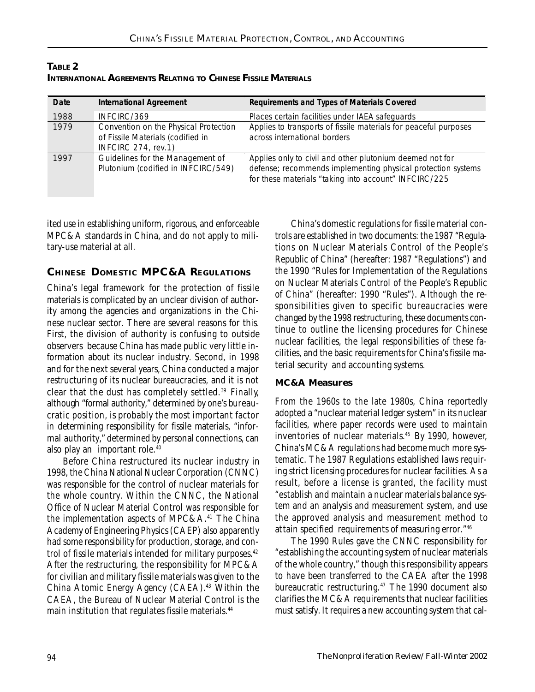| Date | <b>International Agreement</b>                                                                    | Requirements and Types of Materials Covered                                                                                                                                       |
|------|---------------------------------------------------------------------------------------------------|-----------------------------------------------------------------------------------------------------------------------------------------------------------------------------------|
| 1988 | INFCIRC/369                                                                                       | Places certain facilities under IAEA safeguards                                                                                                                                   |
| 1979 | Convention on the Physical Protection<br>of Fissile Materials (codified in<br>INFCIRC 274, rev.1) | Applies to transports of fissile materials for peaceful purposes<br>across international borders                                                                                  |
| 1997 | Guidelines for the Management of<br>Plutonium (codified in INFCIRC/549)                           | Applies only to civil and other plutonium deemed not for<br>defense; recommends implementing physical protection systems<br>for these materials "taking into account" INFCIRC/225 |

**TABLE 2 INTERNATIONAL AGREEMENTS RELATING TO CHINESE FISSILE MATERIALS**

ited use in establishing uniform, rigorous, and enforceable MPC&A standards in China, and do not apply to military-use material at all.

# **CHINESE DOMESTIC MPC&A REGULATIONS**

China's legal framework for the protection of fissile materials is complicated by an unclear division of authority among the agencies and organizations in the Chinese nuclear sector. There are several reasons for this. First, the division of authority is confusing to outside observers because China has made public very little information about its nuclear industry. Second, in 1998 and for the next several years, China conducted a major restructuring of its nuclear bureaucracies, and it is not clear that the dust has completely settled.39 Finally, although "formal authority," determined by one's bureaucratic position, is probably the most important factor in determining responsibility for fissile materials, "informal authority," determined by personal connections, can also play an important role.<sup>40</sup>

Before China restructured its nuclear industry in 1998, the China National Nuclear Corporation (CNNC) was responsible for the control of nuclear materials for the whole country. Within the CNNC, the National Office of Nuclear Material Control was responsible for the implementation aspects of MPC&A. $41$  The China Academy of Engineering Physics (CAEP) also apparently had some responsibility for production, storage, and control of fissile materials intended for military purposes.<sup>42</sup> After the restructuring, the responsibility for MPC&A for civilian and military fissile materials was given to the China Atomic Energy Agency (CAEA).<sup>43</sup> Within the CAEA, the Bureau of Nuclear Material Control is the main institution that regulates fissile materials.<sup>44</sup>

China's domestic regulations for fissile material controls are established in two documents: the 1987 "Regulations on Nuclear Materials Control of the People's Republic of China" (hereafter: 1987 "Regulations") and the 1990 "Rules for Implementation of the Regulations on Nuclear Materials Control of the People's Republic of China" (hereafter: 1990 "Rules"). Although the responsibilities given to specific bureaucracies were changed by the 1998 restructuring, these documents continue to outline the licensing procedures for Chinese nuclear facilities, the legal responsibilities of these facilities, and the basic requirements for China's fissile material security and accounting systems.

# **MC&A Measures**

From the 1960s to the late 1980s, China reportedly adopted a "nuclear material ledger system" in its nuclear facilities, where paper records were used to maintain inventories of nuclear materials.<sup>45</sup> By 1990, however, China's MC&A regulations had become much more systematic. The 1987 Regulations established laws requiring strict licensing procedures for nuclear facilities. As a result, before a license is granted, the facility must "establish and maintain a nuclear materials balance system and an analysis and measurement system, and use the approved analysis and measurement method to attain specified requirements of measuring error."<sup>46</sup>

The 1990 Rules gave the CNNC responsibility for "establishing the accounting system of nuclear materials of the whole country," though this responsibility appears to have been transferred to the CAEA after the 1998 bureaucratic restructuring.47 The 1990 document also clarifies the MC&A requirements that nuclear facilities must satisfy. It requires a new accounting system that cal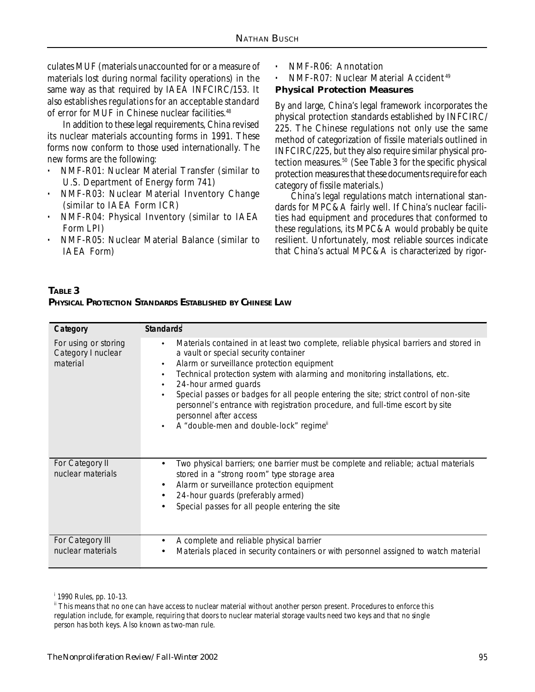culates MUF (materials unaccounted for or a measure of materials lost during normal facility operations) in the same way as that required by IAEA INFCIRC/153. It also establishes regulations for an acceptable standard of error for MUF in Chinese nuclear facilities.<sup>48</sup>

In addition to these legal requirements, China revised its nuclear materials accounting forms in 1991. These forms now conform to those used internationally. The new forms are the following:

- **·** NMF-R01: Nuclear Material Transfer (similar to U.S. Department of Energy form 741)
- **·** NMF-R03: Nuclear Material Inventory Change (similar to IAEA Form ICR)
- **·** NMF-R04: Physical Inventory (similar to IAEA Form LPI)
- **·** NMF-R05: Nuclear Material Balance (similar to IAEA Form)
- **·** NMF-R06: Annotation
- **·** NMF-R07: Nuclear Material Accident <sup>49</sup>

#### **Physical Protection Measures**

By and large, China's legal framework incorporates the physical protection standards established by INFCIRC/ 225. The Chinese regulations not only use the same method of categorization of fissile materials outlined in INFCIRC/225, but they also require similar physical protection measures.50 (See Table 3 for the specific physical protection measures that these documents require for each category of fissile materials.)

China's legal regulations match international standards for MPC&A fairly well. If China's nuclear facilities had equipment and procedures that conformed to these regulations, its MPC&A would probably be quite resilient. Unfortunately, most reliable sources indicate that China's actual MPC&A is characterized by rigor-

| TABLE 3                                                  |  |  |
|----------------------------------------------------------|--|--|
| Physical Protection Standards Established by Chinese Law |  |  |

| Category                                               | Standards                                                                                                                                                                                                                                                                                                                                                                                                                                                                                                                                                                                             |  |
|--------------------------------------------------------|-------------------------------------------------------------------------------------------------------------------------------------------------------------------------------------------------------------------------------------------------------------------------------------------------------------------------------------------------------------------------------------------------------------------------------------------------------------------------------------------------------------------------------------------------------------------------------------------------------|--|
| For using or storing<br>Category I nuclear<br>material | Materials contained in at least two complete, reliable physical barriers and stored in<br>$\bullet$<br>a vault or special security container<br>Alarm or surveillance protection equipment<br>$\bullet$<br>Technical protection system with alarming and monitoring installations, etc.<br>$\bullet$<br>24-hour armed guards<br>$\bullet$<br>Special passes or badges for all people entering the site; strict control of non-site<br>$\bullet$<br>personnel's entrance with registration procedure, and full-time escort by site<br>personnel after access<br>A "double-men and double-lock" regime" |  |
| For Category II<br>nuclear materials                   | Two physical barriers; one barrier must be complete and reliable; actual materials<br>stored in a "strong room" type storage area<br>Alarm or surveillance protection equipment<br>$\bullet$<br>24-hour guards (preferably armed)<br>Special passes for all people entering the site                                                                                                                                                                                                                                                                                                                  |  |
| For Category III<br>nuclear materials                  | A complete and reliable physical barrier<br>$\bullet$<br>Materials placed in security containers or with personnel assigned to watch material<br>$\bullet$                                                                                                                                                                                                                                                                                                                                                                                                                                            |  |
|                                                        |                                                                                                                                                                                                                                                                                                                                                                                                                                                                                                                                                                                                       |  |

i 1990 Rules, pp. 10-13.

<sup>&</sup>lt;sup>ii</sup> This means that no one can have access to nuclear material without another person present. Procedures to enforce this regulation include, for example, requiring that doors to nuclear material storage vaults need two keys and that no single person has both keys. Also known as two-man rule.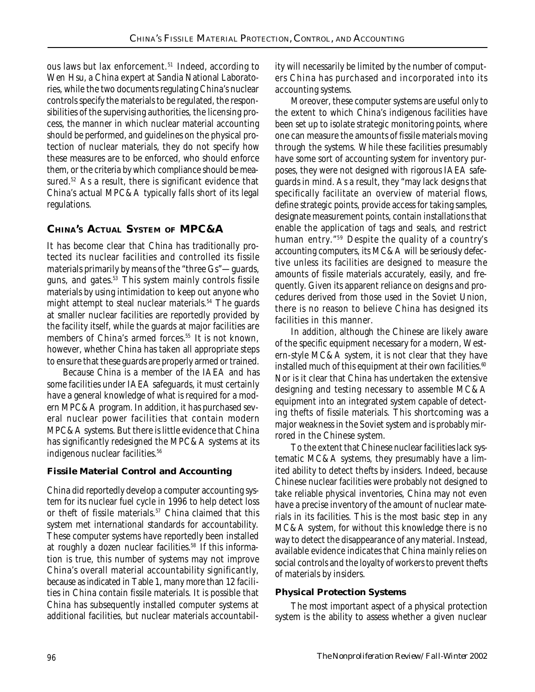ous laws but lax enforcement.<sup>51</sup> Indeed, according to Wen Hsu, a China expert at Sandia National Laboratories, while the two documents regulating China's nuclear controls specify the materials to be regulated, the responsibilities of the supervising authorities, the licensing process, the manner in which nuclear material accounting should be performed, and guidelines on the physical protection of nuclear materials, they do not specify how these measures are to be enforced, who should enforce them, or the criteria by which compliance should be measured.<sup>52</sup> As a result, there is significant evidence that China's actual MPC&A typically falls short of its legal regulations.

# **CHINA'S ACTUAL SYSTEM OF MPC&A**

It has become clear that China has traditionally protected its nuclear facilities and controlled its fissile materials primarily by means of the "three Gs"—guards, guns, and gates. $53$  This system mainly controls fissile materials by using intimidation to keep out anyone who might attempt to steal nuclear materials.<sup>54</sup> The guards at smaller nuclear facilities are reportedly provided by the facility itself, while the guards at major facilities are members of China's armed forces.<sup>55</sup> It is not known, however, whether China has taken all appropriate steps to ensure that these guards are properly armed or trained.

Because China is a member of the IAEA and has some facilities under IAEA safeguards, it must certainly have a general knowledge of what is required for a modern MPC&A program. In addition, it has purchased several nuclear power facilities that contain modern MPC&A systems. But there is little evidence that China has significantly redesigned the MPC&A systems at its indigenous nuclear facilities.<sup>56</sup>

# **Fissile Material Control and Accounting**

China did reportedly develop a computer accounting system for its nuclear fuel cycle in 1996 to help detect loss or theft of fissile materials.<sup>57</sup> China claimed that this system met international standards for accountability. These computer systems have reportedly been installed at roughly a dozen nuclear facilities.<sup>58</sup> If this information is true, this number of systems may not improve China's overall material accountability significantly, because as indicated in Table 1, many more than 12 facilities in China contain fissile materials. It is possible that China has subsequently installed computer systems at additional facilities, but nuclear materials accountability will necessarily be limited by the number of computers China has purchased and incorporated into its accounting systems.

Moreover, these computer systems are useful only to the extent to which China's indigenous facilities have been set up to isolate strategic monitoring points, where one can measure the amounts of fissile materials moving through the systems. While these facilities presumably have some sort of accounting system for inventory purposes, they were not designed with rigorous IAEA safeguards in mind. As a result, they "may lack designs that specifically facilitate an overview of material flows, define strategic points, provide access for taking samples, designate measurement points, contain installations that enable the application of tags and seals, and restrict human entry."59 Despite the quality of a country's accounting computers, its MC&A will be seriously defective unless its facilities are designed to measure the amounts of fissile materials accurately, easily, and frequently. Given its apparent reliance on designs and procedures derived from those used in the Soviet Union, there is no reason to believe China has designed its facilities in this manner.

In addition, although the Chinese are likely aware of the specific equipment necessary for a modern, Western-style MC&A system, it is not clear that they have installed much of this equipment at their own facilities. $60$ Nor is it clear that China has undertaken the extensive designing and testing necessary to assemble MC&A equipment into an integrated system capable of detecting thefts of fissile materials. This shortcoming was a major weakness in the Soviet system and is probably mirrored in the Chinese system.

To the extent that Chinese nuclear facilities lack systematic MC&A systems, they presumably have a limited ability to detect thefts by insiders. Indeed, because Chinese nuclear facilities were probably not designed to take reliable physical inventories, China may not even have a precise inventory of the amount of nuclear materials in its facilities. This is the most basic step in any MC&A system, for without this knowledge there is no way to detect the disappearance of any material. Instead, available evidence indicates that China mainly relies on social controls and the loyalty of workers to prevent thefts of materials by insiders.

#### **Physical Protection Systems**

The most important aspect of a physical protection system is the ability to assess whether a given nuclear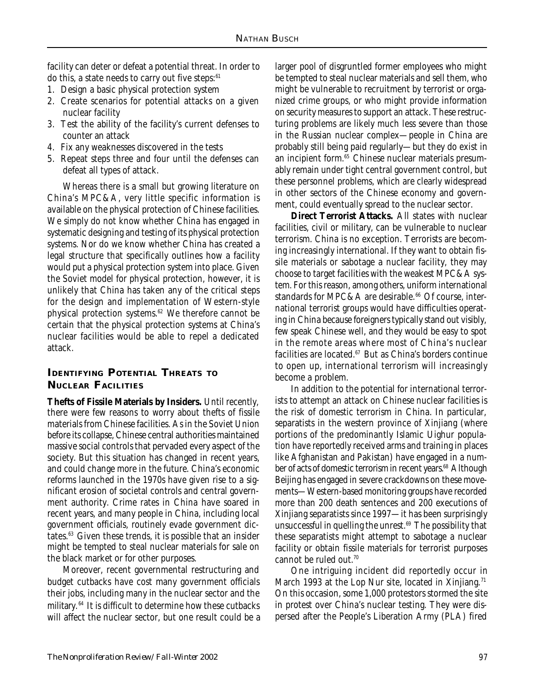facility can deter or defeat a potential threat. In order to do this, a state needs to carry out five steps: $61$ 

- 1. Design a basic physical protection system
- 2. Create scenarios for potential attacks on a given nuclear facility
- 3. Test the ability of the facility's current defenses to counter an attack
- 4. Fix any weaknesses discovered in the tests
- 5. Repeat steps three and four until the defenses can defeat all types of attack.

Whereas there is a small but growing literature on China's MPC&A, very little specific information is available on the physical protection of Chinese facilities. We simply do not know whether China has engaged in systematic designing and testing of its physical protection systems. Nor do we know whether China has created a legal structure that specifically outlines how a facility would put a physical protection system into place. Given the Soviet model for physical protection, however, it is unlikely that China has taken any of the critical steps for the design and implementation of Western-style physical protection systems.62 We therefore cannot be certain that the physical protection systems at China's nuclear facilities would be able to repel a dedicated attack.

# **IDENTIFYING POTENTIAL THREATS TO NUCLEAR FACILITIES**

**Thefts of Fissile Materials by Insiders.** Until recently, there were few reasons to worry about thefts of fissile materials from Chinese facilities. As in the Soviet Union before its collapse, Chinese central authorities maintained massive social controls that pervaded every aspect of the society. But this situation has changed in recent years, and could change more in the future. China's economic reforms launched in the 1970s have given rise to a significant erosion of societal controls and central government authority. Crime rates in China have soared in recent years, and many people in China, including local government officials, routinely evade government dictates.63 Given these trends, it is possible that an insider might be tempted to steal nuclear materials for sale on the black market or for other purposes.

Moreover, recent governmental restructuring and budget cutbacks have cost many government officials their jobs, including many in the nuclear sector and the military.64 It is difficult to determine how these cutbacks will affect the nuclear sector, but one result could be a larger pool of disgruntled former employees who might be tempted to steal nuclear materials and sell them, who might be vulnerable to recruitment by terrorist or organized crime groups, or who might provide information on security measures to support an attack. These restructuring problems are likely much less severe than those in the Russian nuclear complex—people in China are probably still being paid regularly—but they do exist in an incipient form.<sup>65</sup> Chinese nuclear materials presumably remain under tight central government control, but these personnel problems, which are clearly widespread in other sectors of the Chinese economy and government, could eventually spread to the nuclear sector.

**Direct Terrorist Attacks.** All states with nuclear facilities, civil or military, can be vulnerable to nuclear terrorism. China is no exception. Terrorists are becoming increasingly international. If they want to obtain fissile materials or sabotage a nuclear facility, they may choose to target facilities with the weakest MPC&A system. For this reason, among others, uniform international standards for MPC&A are desirable.<sup>66</sup> Of course, international terrorist groups would have difficulties operating in China because foreigners typically stand out visibly, few speak Chinese well, and they would be easy to spot in the remote areas where most of China's nuclear facilities are located.<sup>67</sup> But as China's borders continue to open up, international terrorism will increasingly become a problem.

In addition to the potential for international terrorists to attempt an attack on Chinese nuclear facilities is the risk of domestic terrorism in China. In particular, separatists in the western province of Xinjiang (where portions of the predominantly Islamic Uighur population have reportedly received arms and training in places like Afghanistan and Pakistan) have engaged in a number of acts of domestic terrorism in recent years.<sup>68</sup> Although Beijing has engaged in severe crackdowns on these movements—Western-based monitoring groups have recorded more than 200 death sentences and 200 executions of Xinjiang separatists since 1997—it has been surprisingly unsuccessful in quelling the unrest.<sup>69</sup> The possibility that these separatists might attempt to sabotage a nuclear facility or obtain fissile materials for terrorist purposes cannot be ruled out.<sup>70</sup>

One intriguing incident did reportedly occur in March 1993 at the Lop Nur site, located in Xinjiang.<sup>71</sup> On this occasion, some 1,000 protestors stormed the site in protest over China's nuclear testing. They were dispersed after the People's Liberation Army (PLA) fired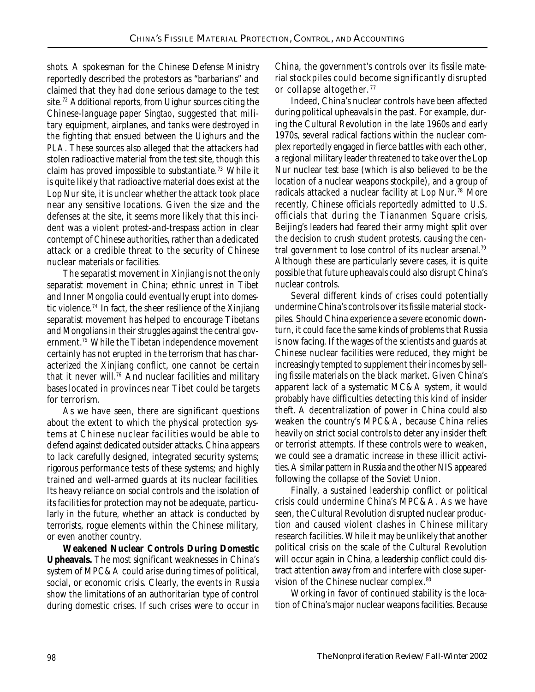shots. A spokesman for the Chinese Defense Ministry reportedly described the protestors as "barbarians" and claimed that they had done serious damage to the test site.<sup>72</sup> Additional reports, from Uighur sources citing the Chinese-language paper *Singtao*, suggested that military equipment, airplanes, and tanks were destroyed in the fighting that ensued between the Uighurs and the PLA. These sources also alleged that the attackers had stolen radioactive material from the test site, though this claim has proved impossible to substantiate.73 While it is quite likely that radioactive material does exist at the Lop Nur site, it is unclear whether the attack took place near any sensitive locations. Given the size and the defenses at the site, it seems more likely that this incident was a violent protest-and-trespass action in clear contempt of Chinese authorities, rather than a dedicated attack or a credible threat to the security of Chinese nuclear materials or facilities.

The separatist movement in Xinjiang is not the only separatist movement in China; ethnic unrest in Tibet and Inner Mongolia could eventually erupt into domestic violence.74 In fact, the sheer resilience of the Xinjiang separatist movement has helped to encourage Tibetans and Mongolians in their struggles against the central government.<sup>75</sup> While the Tibetan independence movement certainly has not erupted in the terrorism that has characterized the Xinjiang conflict, one cannot be certain that it never will.<sup>76</sup> And nuclear facilities and military bases located in provinces near Tibet could be targets for terrorism.

As we have seen, there are significant questions about the extent to which the physical protection systems at Chinese nuclear facilities would be able to defend against dedicated outsider attacks. China appears to lack carefully designed, integrated security systems; rigorous performance tests of these systems; and highly trained and well-armed guards at its nuclear facilities. Its heavy reliance on social controls and the isolation of its facilities for protection may not be adequate, particularly in the future, whether an attack is conducted by terrorists, rogue elements within the Chinese military, or even another country.

**Weakened Nuclear Controls During Domestic Upheavals.** The most significant weaknesses in China's system of MPC&A could arise during times of political, social, or economic crisis. Clearly, the events in Russia show the limitations of an authoritarian type of control during domestic crises. If such crises were to occur in China, the government's controls over its fissile material stockpiles could become significantly disrupted or collapse altogether. <sup>77</sup>

Indeed, China's nuclear controls have been affected during political upheavals in the past. For example, during the Cultural Revolution in the late 1960s and early 1970s, several radical factions within the nuclear complex reportedly engaged in fierce battles with each other, a regional military leader threatened to take over the Lop Nur nuclear test base (which is also believed to be the location of a nuclear weapons stockpile), and a group of radicals attacked a nuclear facility at Lop Nur. <sup>78</sup> More recently, Chinese officials reportedly admitted to U.S. officials that during the Tiananmen Square crisis, Beijing's leaders had feared their army might split over the decision to crush student protests, causing the central government to lose control of its nuclear arsenal.<sup>79</sup> Although these are particularly severe cases, it is quite possible that future upheavals could also disrupt China's nuclear controls.

Several different kinds of crises could potentially undermine China's controls over its fissile material stockpiles. Should China experience a severe economic downturn, it could face the same kinds of problems that Russia is now facing. If the wages of the scientists and guards at Chinese nuclear facilities were reduced, they might be increasingly tempted to supplement their incomes by selling fissile materials on the black market. Given China's apparent lack of a systematic MC&A system, it would probably have difficulties detecting this kind of insider theft. A decentralization of power in China could also weaken the country's MPC&A, because China relies heavily on strict social controls to deter any insider theft or terrorist attempts. If these controls were to weaken, we could see a dramatic increase in these illicit activities. A similar pattern in Russia and the other NIS appeared following the collapse of the Soviet Union.

Finally, a sustained leadership conflict or political crisis could undermine China's MPC&A. As we have seen, the Cultural Revolution disrupted nuclear production and caused violent clashes in Chinese military research facilities. While it may be unlikely that another political crisis on the scale of the Cultural Revolution will occur again in China, a leadership conflict could distract attention away from and interfere with close supervision of the Chinese nuclear complex.<sup>80</sup>

Working in favor of continued stability is the location of China's major nuclear weapons facilities. Because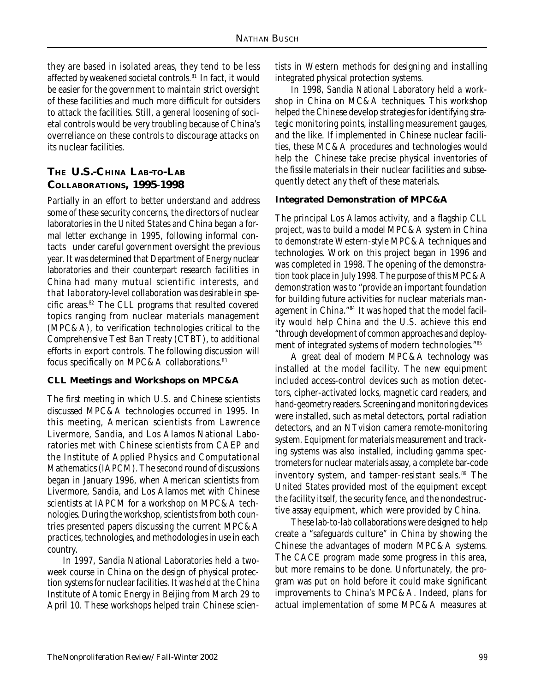they are based in isolated areas, they tend to be less affected by weakened societal controls.<sup>81</sup> In fact, it would be easier for the government to maintain strict oversight of these facilities and much more difficult for outsiders to attack the facilities. Still, a general loosening of societal controls would be very troubling because of China's overreliance on these controls to discourage attacks on its nuclear facilities.

# **THE U.S.-CHINA LAB-TO-LAB COLLABORATIONS, 1995**-**1998**

Partially in an effort to better understand and address some of these security concerns, the directors of nuclear laboratories in the United States and China began a formal letter exchange in 1995, following informal contacts under careful government oversight the previous year. It was determined that Department of Energy nuclear laboratories and their counterpart research facilities in China had many mutual scientific interests, and that laboratory-level collaboration was desirable in specific areas.82 The CLL programs that resulted covered topics ranging from nuclear materials management (MPC&A), to verification technologies critical to the Comprehensive Test Ban Treaty (CTBT), to additional efforts in export controls. The following discussion will focus specifically on MPC&A collaborations.<sup>83</sup>

#### **CLL Meetings and Workshops on MPC&A**

The first meeting in which U.S. and Chinese scientists discussed MPC&A technologies occurred in 1995. In this meeting, American scientists from Lawrence Livermore, Sandia, and Los Alamos National Laboratories met with Chinese scientists from CAEP and the Institute of Applied Physics and Computational Mathematics (IAPCM). The second round of discussions began in January 1996, when American scientists from Livermore, Sandia, and Los Alamos met with Chinese scientists at IAPCM for a workshop on MPC&A technologies. During the workshop, scientists from both countries presented papers discussing the current MPC&A practices, technologies, and methodologies in use in each country.

In 1997, Sandia National Laboratories held a twoweek course in China on the design of physical protection systems for nuclear facilities. It was held at the China Institute of Atomic Energy in Beijing from March 29 to April 10. These workshops helped train Chinese scientists in Western methods for designing and installing integrated physical protection systems.

In 1998, Sandia National Laboratory held a workshop in China on MC&A techniques. This workshop helped the Chinese develop strategies for identifying strategic monitoring points, installing measurement gauges, and the like. If implemented in Chinese nuclear facilities, these MC&A procedures and technologies would help the Chinese take precise physical inventories of the fissile materials in their nuclear facilities and subsequently detect any theft of these materials.

#### **Integrated Demonstration of MPC&A**

The principal Los Alamos activity, and a flagship CLL project, was to build a model MPC&A system in China to demonstrate Western-style MPC&A techniques and technologies. Work on this project began in 1996 and was completed in 1998. The opening of the demonstration took place in July 1998. The purpose of this MPC&A demonstration was to "provide an important foundation for building future activities for nuclear materials management in China."84 It was hoped that the model facility would help China and the U.S. achieve this end "through development of common approaches and deployment of integrated systems of modern technologies."85

A great deal of modern MPC&A technology was installed at the model facility. The new equipment included access-control devices such as motion detectors, cipher-activated locks, magnetic card readers, and hand-geometry readers. Screening and monitoring devices were installed, such as metal detectors, portal radiation detectors, and an NTvision camera remote-monitoring system. Equipment for materials measurement and tracking systems was also installed, including gamma spectrometers for nuclear materials assay, a complete bar-code inventory system, and tamper-resistant seals.<sup>86</sup> The United States provided most of the equipment except the facility itself, the security fence, and the nondestructive assay equipment, which were provided by China.

These lab-to-lab collaborations were designed to help create a "safeguards culture" in China by showing the Chinese the advantages of modern MPC&A systems. The CACE program made some progress in this area, but more remains to be done. Unfortunately, the program was put on hold before it could make significant improvements to China's MPC&A. Indeed, plans for actual implementation of some MPC&A measures at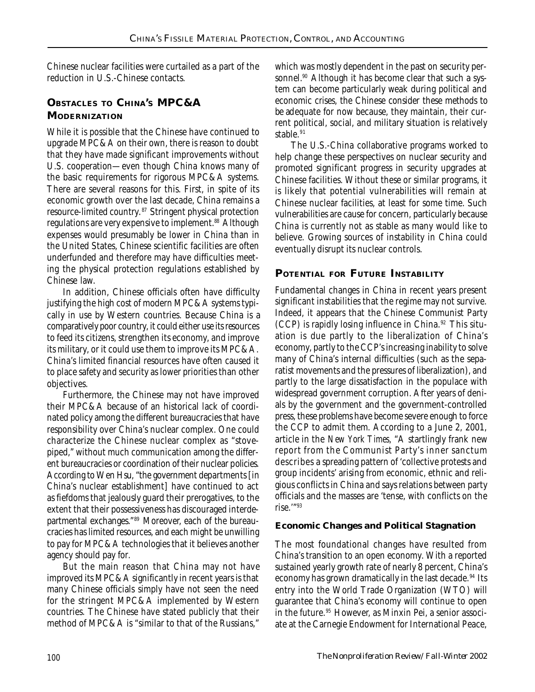Chinese nuclear facilities were curtailed as a part of the reduction in U.S.-Chinese contacts.

# **OBSTACLES TO CHINA'S MPC&A MODERNIZATION**

While it is possible that the Chinese have continued to upgrade MPC&A on their own, there is reason to doubt that they have made significant improvements without U.S. cooperation—even though China knows many of the basic requirements for rigorous MPC&A systems. There are several reasons for this. First, in spite of its economic growth over the last decade, China remains a resource-limited country. <sup>87</sup> Stringent physical protection regulations are very expensive to implement.<sup>88</sup> Although expenses would presumably be lower in China than in the United States, Chinese scientific facilities are often underfunded and therefore may have difficulties meeting the physical protection regulations established by Chinese law.

In addition, Chinese officials often have difficulty justifying the high cost of modern MPC&A systems typically in use by Western countries. Because China is a comparatively poor country, it could either use its resources to feed its citizens, strengthen its economy, and improve its military, or it could use them to improve its MPC&A. China's limited financial resources have often caused it to place safety and security as lower priorities than other objectives.

Furthermore, the Chinese may not have improved their MPC&A because of an historical lack of coordinated policy among the different bureaucracies that have responsibility over China's nuclear complex. One could characterize the Chinese nuclear complex as "stovepiped," without much communication among the different bureaucracies or coordination of their nuclear policies. According to Wen Hsu, "the government departments [in China's nuclear establishment] have continued to act as fiefdoms that jealously guard their prerogatives, to the extent that their possessiveness has discouraged interdepartmental exchanges."89 Moreover, each of the bureaucracies has limited resources, and each might be unwilling to pay for MPC&A technologies that it believes another agency should pay for.

But the main reason that China may not have improved its MPC&A significantly in recent years is that many Chinese officials simply have not seen the need for the stringent MPC&A implemented by Western countries. The Chinese have stated publicly that their method of MPC&A is "similar to that of the Russians," which was mostly dependent in the past on security personnel.<sup>90</sup> Although it has become clear that such a system can become particularly weak during political and economic crises, the Chinese consider these methods to be adequate for now because, they maintain, their current political, social, and military situation is relatively stable.<sup>91</sup>

The U.S.-China collaborative programs worked to help change these perspectives on nuclear security and promoted significant progress in security upgrades at Chinese facilities. Without these or similar programs, it is likely that potential vulnerabilities will remain at Chinese nuclear facilities, at least for some time. Such vulnerabilities are cause for concern, particularly because China is currently not as stable as many would like to believe. Growing sources of instability in China could eventually disrupt its nuclear controls.

# **POTENTIAL FOR FUTURE INSTABILITY**

Fundamental changes in China in recent years present significant instabilities that the regime may not survive. Indeed, it appears that the Chinese Communist Party  $(CCP)$  is rapidly losing influence in China.<sup>92</sup> This situation is due partly to the liberalization of China's economy, partly to the CCP's increasing inability to solve many of China's internal difficulties (such as the separatist movements and the pressures of liberalization), and partly to the large dissatisfaction in the populace with widespread government corruption. After years of denials by the government and the government-controlled press, these problems have become severe enough to force the CCP to admit them. According to a June 2, 2001, article in the *New York Times*, "A startlingly frank new report from the Communist Party's inner sanctum describes a spreading pattern of 'collective protests and group incidents' arising from economic, ethnic and religious conflicts in China and says relations between party officials and the masses are 'tense, with conflicts on the rise.'"<sup>93</sup>

#### **Economic Changes and Political Stagnation**

The most foundational changes have resulted from China's transition to an open economy. With a reported sustained yearly growth rate of nearly 8 percent, China's economy has grown dramatically in the last decade.<sup>94</sup> Its entry into the World Trade Organization (WTO) will guarantee that China's economy will continue to open in the future.<sup>95</sup> However, as Minxin Pei, a senior associate at the Carnegie Endowment for International Peace,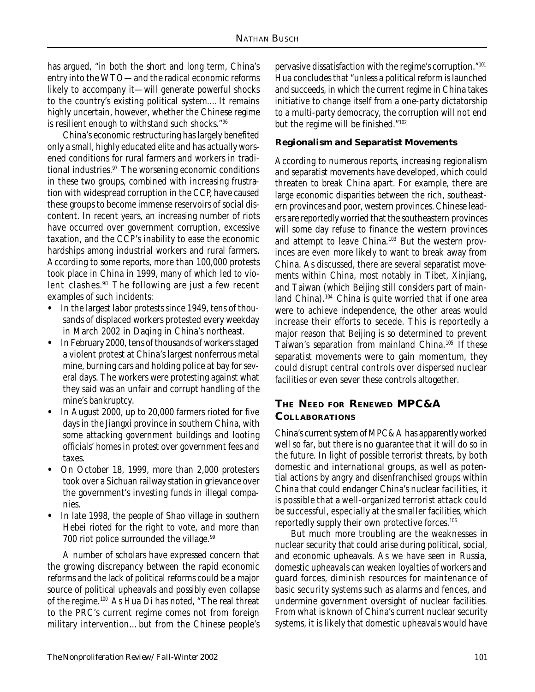has argued, "in both the short and long term, China's entry into the WTO—and the radical economic reforms likely to accompany it—will generate powerful shocks to the country's existing political system.…It remains highly uncertain, however, whether the Chinese regime is resilient enough to withstand such shocks."<sup>96</sup>

China's economic restructuring has largely benefited only a small, highly educated elite and has actually worsened conditions for rural farmers and workers in traditional industries. $97$  The worsening economic conditions in these two groups, combined with increasing frustration with widespread corruption in the CCP, have caused these groups to become immense reservoirs of social discontent. In recent years, an increasing number of riots have occurred over government corruption, excessive taxation, and the CCP's inability to ease the economic hardships among industrial workers and rural farmers. According to some reports, more than 100,000 protests took place in China in 1999, many of which led to violent clashes.<sup>98</sup> The following are just a few recent examples of such incidents:

- In the largest labor protests since 1949, tens of thousands of displaced workers protested every weekday in March 2002 in Daqing in China's northeast.
- **•** In February 2000, tens of thousands of workers staged a violent protest at China's largest nonferrous metal mine, burning cars and holding police at bay for several days. The workers were protesting against what they said was an unfair and corrupt handling of the mine's bankruptcy.
- **•** In August 2000, up to 20,000 farmers rioted for five days in the Jiangxi province in southern China, with some attacking government buildings and looting officials' homes in protest over government fees and taxes.
- **•** On October 18, 1999, more than 2,000 protesters took over a Sichuan railway station in grievance over the government's investing funds in illegal companies.
- **•** In late 1998, the people of Shao village in southern Hebei rioted for the right to vote, and more than 700 riot police surrounded the village.<sup>99</sup>

A number of scholars have expressed concern that the growing discrepancy between the rapid economic reforms and the lack of political reforms could be a major source of political upheavals and possibly even collapse of the regime.<sup>100</sup> As Hua Di has noted, "The real threat to the PRC's current regime comes not from foreign military intervention…but from the Chinese people's pervasive dissatisfaction with the regime's corruption."<sup>101</sup> Hua concludes that "unless a political reform is launched and succeeds, in which the current regime in China takes initiative to change itself from a one-party dictatorship to a multi-party democracy, the corruption will not end but the regime will be finished."<sup>102</sup>

#### **Regionalism and Separatist Movements**

According to numerous reports, increasing regionalism and separatist movements have developed, which could threaten to break China apart. For example, there are large economic disparities between the rich, southeastern provinces and poor, western provinces. Chinese leaders are reportedly worried that the southeastern provinces will some day refuse to finance the western provinces and attempt to leave China.103 But the western provinces are even more likely to want to break away from China. As discussed, there are several separatist movements within China, most notably in Tibet, Xinjiang, and Taiwan (which Beijing still considers part of mainland China).<sup>104</sup> China is quite worried that if one area were to achieve independence, the other areas would increase their efforts to secede. This is reportedly a major reason that Beijing is so determined to prevent Taiwan's separation from mainland China.105 If these separatist movements were to gain momentum, they could disrupt central controls over dispersed nuclear facilities or even sever these controls altogether.

# **THE NEED FOR RENEWED MPC&A COLLABORATIONS**

China's current system of MPC&A has apparently worked well so far, but there is no guarantee that it will do so in the future. In light of possible terrorist threats, by both domestic and international groups, as well as potential actions by angry and disenfranchised groups within China that could endanger China's nuclear facilities, it is possible that a well-organized terrorist attack could be successful, especially at the smaller facilities, which reportedly supply their own protective forces.<sup>106</sup>

But much more troubling are the weaknesses in nuclear security that could arise during political, social, and economic upheavals. As we have seen in Russia, domestic upheavals can weaken loyalties of workers and guard forces, diminish resources for maintenance of basic security systems such as alarms and fences, and undermine government oversight of nuclear facilities. From what is known of China's current nuclear security systems, it is likely that domestic upheavals would have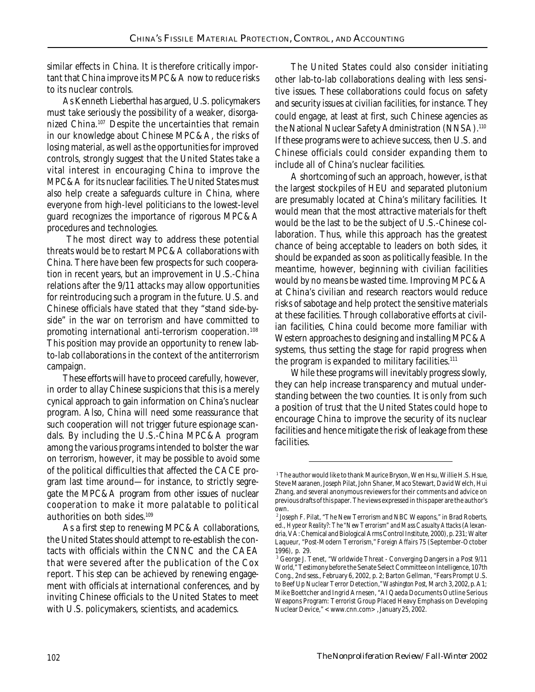similar effects in China. It is therefore critically important that China improve its MPC&A now to reduce risks to its nuclear controls.

As Kenneth Lieberthal has argued, U.S. policymakers must take seriously the possibility of a weaker, disorganized China.107 Despite the uncertainties that remain in our knowledge about Chinese MPC&A, the risks of losing material, as well as the opportunities for improved controls, strongly suggest that the United States take a vital interest in encouraging China to improve the MPC&A for its nuclear facilities. The United States must also help create a safeguards culture in China, where everyone from high-level politicians to the lowest-level guard recognizes the importance of rigorous MPC&A procedures and technologies.

 The most direct way to address these potential threats would be to restart MPC&A collaborations with China. There have been few prospects for such cooperation in recent years, but an improvement in U.S.-China relations after the 9/11 attacks may allow opportunities for reintroducing such a program in the future. U.S. and Chinese officials have stated that they "stand side-byside" in the war on terrorism and have committed to promoting international anti-terrorism cooperation.<sup>108</sup> This position may provide an opportunity to renew labto-lab collaborations in the context of the antiterrorism campaign.

These efforts will have to proceed carefully, however, in order to allay Chinese suspicions that this is a merely cynical approach to gain information on China's nuclear program. Also, China will need some reassurance that such cooperation will not trigger future espionage scandals. By including the U.S.-China MPC&A program among the various programs intended to bolster the war on terrorism, however, it may be possible to avoid some of the political difficulties that affected the CACE program last time around—for instance, to strictly segregate the MPC&A program from other issues of nuclear cooperation to make it more palatable to political authorities on both sides.<sup>109</sup>

As a first step to renewing MPC&A collaborations, the United States should attempt to re-establish the contacts with officials within the CNNC and the CAEA that were severed after the publication of the Cox report. This step can be achieved by renewing engagement with officials at international conferences, and by inviting Chinese officials to the United States to meet with U.S. policymakers, scientists, and academics.

The United States could also consider initiating other lab-to-lab collaborations dealing with less sensitive issues. These collaborations could focus on safety and security issues at civilian facilities, for instance. They could engage, at least at first, such Chinese agencies as the National Nuclear Safety Administration (NNSA).<sup>110</sup> If these programs were to achieve success, then U.S. and Chinese officials could consider expanding them to include all of China's nuclear facilities.

A shortcoming of such an approach, however, is that the largest stockpiles of HEU and separated plutonium are presumably located at China's military facilities. It would mean that the most attractive materials for theft would be the last to be the subject of U.S.-Chinese collaboration. Thus, while this approach has the greatest chance of being acceptable to leaders on both sides, it should be expanded as soon as politically feasible. In the meantime, however, beginning with civilian facilities would by no means be wasted time. Improving MPC&A at China's civilian and research reactors would reduce risks of sabotage and help protect the sensitive materials at these facilities. Through collaborative efforts at civilian facilities, China could become more familiar with Western approaches to designing and installing MPC&A systems, thus setting the stage for rapid progress when the program is expanded to military facilities.<sup>111</sup>

While these programs will inevitably progress slowly, they can help increase transparency and mutual understanding between the two counties. It is only from such a position of trust that the United States could hope to encourage China to improve the security of its nuclear facilities and hence mitigate the risk of leakage from these facilities.

<sup>&</sup>lt;sup>1</sup> The author would like to thank Maurice Bryson, Wen Hsu, Willie H.S. Hsue, Steve Maaranen, Joseph Pilat, John Shaner, Maco Stewart, David Welch, Hui Zhang, and several anonymous reviewers for their comments and advice on previous drafts of this paper. The views expressed in this paper are the author's own.

<sup>&</sup>lt;sup>2</sup> Joseph F. Pilat, "The New Terrorism and NBC Weapons," in Brad Roberts, ed., *Hype or Reality?: The "New Terrorism" and Mass Casualty Attacks* (Alexandria, VA: Chemical and Biological Arms Control Institute, 2000), p. 231; Walter Laqueur, "Post-Modern Terrorism," *Foreign Affairs* 75 (September-October 1996), p. 29.

<sup>&</sup>lt;sup>3</sup> George J. Tenet, "Worldwide Threat - Converging Dangers in a Post 9/11 World," Testimony before the Senate Select Committee on Intelligence, 107th Cong., 2nd sess., February 6, 2002, p. 2; Barton Gellman, "Fears Prompt U.S. to Beef Up Nuclear Terror Detection," *Washington Post*, March3, 2002, p. A1; Mike Boettcher and Ingrid Arnesen, "Al Qaeda Documents Outline Serious Weapons Program: Terrorist Group Placed Heavy Emphasis on Developing Nuclear Device," <www.cnn.com*>*, January 25, 2002.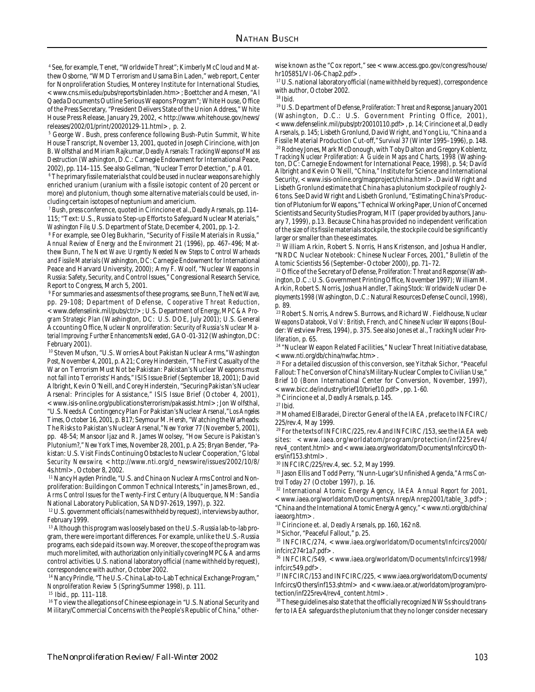<sup>4</sup> See, for example, Tenet, "Worldwide Threat"; Kimberly McCloud and Matthew Osborne, "WMD Terrorism and Usama Bin Laden," web report, Center for Nonproliferation Studies, Monterey Institute for International Studies, < www.cns.miis.edu/pubs/reports/binladen.htm>; Boettcher and Arnesen, "Al Qaeda Documents Outline Serious Weapons Program"; White House, Office of the Press Secretary, "President Delivers State of the Union Address," White House Press Release, January 29, 2002, < http://www.whitehouse.gov/news/ releases/2002/01/print/20020129-11.html>, p. 2.

<sup>5</sup> George W. Bush, press conference following Bush-Putin Summit, White House Transcript, November 13, 2001, quoted in Joseph Cirincione, with Jon B. Wolfsthal and Miriam Rajkumar, *Deadly Arsenals: Tracking Weapons of Mass Destruction* (Washington, D.C.: Carnegie Endowment for International Peace, 2002), pp. 114–115. See also Gellman, "Nuclear Terror Detection," p. A01.

<sup>6</sup> The primary fissile materials that could be used in nuclear weapons are highly enriched uranium (uranium with a fissile isotopic content of 20 percent or more) and plutonium, though some alternative materials could be used, including certain isotopes of neptunium and americium.

7 Bush, press conference, quoted in Cirincione et al., *Deadly Arsenals*, pp. 114– 115; "Text: U.S., Russia to Step-up Efforts to Safeguard Nuclear Materials," *Washington File*, U.S. Department of State, December 4, 2001, pp. 1-2.

<sup>8</sup> For example, see Oleg Bukharin, "Security of Fissile Materials in Russia," *Annual Review of Energy and the Environment* 21 (1996), pp. 467–496; Matthew Bunn, *The Next Wave: Urgently Needed New Steps to Control Warheads and Fissile Materials* (Washington, DC:Carnegie Endowment for International Peace and Harvard University, 2000); Amy F. Woolf, "Nuclear Weapons in Russia: Safety, Security, and Control Issues," Congressional Research Service, Report to Congress, March 5, 2001.

9 For summaries and assessments of these programs, see Bunn, *The Next Wave*, pp. 29-108; Department of Defense, *Cooperative Threat Reduction*, < www.defenselink.mil/pubs/ctr/>; U.S. Department of Energy, *MPC&A Program Strategic Plan* (Washington, DC: U.S. DOE, July 2001); U.S. General Accounting Office, *Nuclear Nonproliferation: Security of Russia's Nuclear Material Improving; Further Enhancements Needed*, GAO-01-312 (Washington, DC: February 2001).

<sup>10</sup> Steven Mufson, "U.S. Worries About Pakistan Nuclear Arms," *Washington Post*, November 4, 2001, p. A21; Corey Hinderstein, "The First Casualty of the War on Terrorism Must Not be Pakistan: Pakistan's Nuclear Weapons must not fall into Terrorists' Hands," ISIS Issue Brief (September 18, 2001); David Albright, Kevin O'Neill, and Corey Hinderstein, "Securing Pakistan's Nuclear Arsenal: Principles for Assistance," ISIS Issue Brief (October 4, 2001), < www.isis-online.org/publications/terrorism/pakassist.html>; Jon Wolfsthal, "U.S. Needs A Contingency Plan For Pakistan's Nuclear Arsenal," *Los Angeles Times*, October 16, 2001, p. B17; Seymour M. Hersh, "Watching the Warheads: The Risks to Pakistan's Nuclear Arsenal," *New Yorker* 77 (November 5, 2001), pp. 48-54; Mansoor Ijaz and R. James Woolsey, "How Secure is Pakistan's Plutonium?," *New York Times*, November 28, 2001, p. A25; Bryan Bender, "Pakistan: U.S. Visit Finds Continuing Obstacles to Nuclear Cooperation," *Global* Security Newswire, <http://www.nti.org/d\_newswire/issues/2002/10/8/ 4s.html>, October 8, 2002.

<sup>11</sup> Nancy Hayden Prindle, "U.S. and China on Nuclear Arms Control and Nonproliferation: Building on Common Technical Interests," in James Brown, ed., *Arms Control Issues for the Twenty-First Century* (Albuquerque, NM: Sandia National Laboratory Publication, SAND97-2619, 1997), p. 322.

<sup>12</sup> U.S. government officials (names withheld by request), interviews by author, February 1999.

13 Although this program was loosely based on the U.S.-Russia lab-to-lab program, there were important differences. For example, unlike the U.S.-Russia programs, each side paid its own way. Moreover, the scope of the program was much more limited, with authorization only initially covering MPC&A and arms control activities. U.S. national laboratory official (name withheld by request), correspondence with author, October 2002.

<sup>14</sup> Nancy Prindle, "The U.S.-China Lab-to-Lab Technical Exchange Program," *Nonproliferation Review* 5 (Spring/Summer 1998), p. 111.

<sup>15</sup> Ibid., pp. 111–118.

<sup>16</sup> To view the allegations of Chinese espionage in "U.S. National Security and Military/Commercial Concerns with the People's Republic of China," otherwise known as the "Cox report," see < www.access.gpo.gov/congress/house/ hr105851/VI-06-Chap2.pdf>.

<sup>17</sup> U.S. national laboratory official (name withheld by request), correspondence with author, October 2002.

<sup>18</sup> Ibid.

<sup>19</sup> U.S. Department of Defense, *Proliferation: Threat and Response*, January 2001 (Washington, D.C.: U.S. Government Printing Office, 2001), <www.defenselink.mil/pubs/ptr20010110.pdf>, p. 14; Cirincione et al, *Deadly Arsenals*, p. 145; Lisbeth Gronlund, David Wright, and Yong Liu, "China and a Fissile Material Production Cut-off," *Survival* 37 (Winter 1995–1996), p. 148. <sup>20</sup> Rodney Jones, Mark McDonough, with Toby Dalton and Gregory Koblentz, *Tracking Nuclear Proliferation: A Guide in Maps and Charts, 1998* (Washing-ton, DC: Carnegie Endowment for International Peace, 1998), p. 54; David Albright and Kevin O'Neill, "China," Institute for Science and International Security, < www.isis-online.org/mapproject/china.html>. David Wright and Lisbeth Gronlund estimate that China has a plutonium stockpile of roughly 2- 6 tons. See David Wright and Lisbeth Gronlund, "Estimating China's Production of Plutonium for Weapons," Technical Working Paper, Union of Concerned Scientists and Security Studies Program, MIT (paper provided by authors, January 7, 1999), p.13. Because China has provided no independent verification of the size of its fissile materials stockpile, the stockpile could be significantly larger or smaller than these estimates.

<sup>21</sup> William Arkin, Robert S. Norris, Hans Kristenson, and Joshua Handler, "NRDC Nuclear Notebook: Chinese Nuclear Forces, 2001," *Bulletin of the Atomic Scientists* 56 (September–October 2000), pp. 71–72.

22 Office of the Secretary of Defense, *Proliferation: Threat and Response* (Washington, D.C.: U.S. Government Printing Office, November 1997); William M. Arkin, Robert S. Norris, Joshua Handler, *Taking Stock: Worldwide Nuclear Deployments 1998* (Washington, D.C.: Natural Resources Defense Council, 1998), p. 89.

<sup>23</sup> Robert S. Norris, Andrew S. Burrows, and Richard W. Fieldhouse, *Nuclear Weapons Databook, Vol V: British, French, and Chinese Nuclear Weapons* (Boulder: Westview Press, 1994), p. 375. See also Jones et al., *Tracking Nuclear Proliferation*, p. 65.

<sup>24</sup> "Nuclear Weapon Related Facilities," Nuclear Threat Initiative database,  $\langle$  www.nti.org/db/china/nwfac.htm>.

<sup>25</sup> For a detailed discussion of this conversion, see Yitzhak Sichor, "Peaceful Fallout: The Conversion of China's Military-Nuclear Complex to Civilian Use," *Brief 10* (Bonn International Center for Conversion, November, 1997), < www.bicc.de/industry/brief10/brief10.pdf>, pp. 1-60.

<sup>26</sup> Cirincione et al, *Deadly Arsenals*, p. 145.

 $27$  Ibid.

<sup>28</sup> Mohamed ElBaradei, Director General of the IAEA, preface to INFCIRC/ 225/rev.4, May 1999.

<sup>29</sup> For the texts of INFCIRC/225, rev.4 and INFCIRC /153, see the IAEA web sites: < www.iaea.org/worldatom/program/protection/inf225rev4/ rev4\_content.html> and < www.iaea.org/worldatom/Documents/Infcircs/Others/inf153.shtml>.

<sup>30</sup> INFCIRC/225/rev.4, sec. 5.2, May 1999.

31 Jason Ellis and Todd Perry, "Nunn-Lugar's Unfinished Agenda," *Arms Control Today* 27 (October 1997), p. 16.

<sup>32</sup> International Atomic Energy Agency, *IAEA Annual Report for 2001*, < www.iaea.org/worldatom/Documents/Anrep/Anrep2001/table\_3.pdf>; "China and the International Atomic Energy Agency," < www.nti.org/db/china/ iaeaorg.htm>.

<sup>33</sup> Cirincione et. al, *Deadly Arsenals*, pp. 160, 162 n8.

<sup>34</sup> Sichor, "Peaceful Fallout," p. 25.

<sup>35</sup> INFCIRC/274, < www.iaea.org/worldatom/Documents/Infcircs/2000/ infcirc274r1a7.pdf>.

<sup>36</sup> INFCIRC/549, <www.iaea.org/worldatom/Documents/Infcircs/1998/ infcirc549.pdf>.

<sup>37</sup> INFCIRC/153 and INFCIRC/225, < www.iaea.org/worldatom/Documents/ Infcircs/Others/inf153.shtml> and < www.iaea.or.at/worldatom/program/protection/inf225rev4/rev4\_content.html>.

<sup>38</sup> These guidelines also state that the officially recognized NWSs should transfer to IAEA safeguards the plutonium that they no longer consider necessary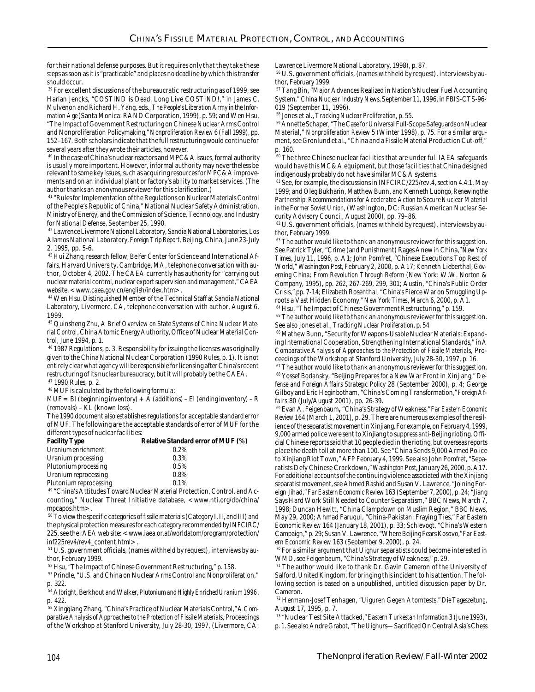for their national defense purposes. But it requires only that they take these steps as soon as it is "practicable" and places no deadline by which this transfer should occur.

<sup>39</sup> For excellent discussions of the bureaucratic restructuring as of 1999, see Harlan Jencks, "COSTIND is Dead. Long Live COSTIND!," in James C. Mulvenon and Richard H. Yang, eds., *The People's Liberation Army in the Information Age* (Santa Monica: RAND Corporation, 1999), p. 59; and Wen Hsu, "The Impact of Government Restructuring on Chinese Nuclear Arms Control and Nonproliferation Policymaking," *Nonproliferation Review* 6 (Fall 1999), pp. 152–167. Both scholars indicate that the full restructuring would continue for several years after they wrote their articles, however.

<sup>40</sup> In the case of China's nuclear reactors and MPC&A issues, formal authority is usually more important. However, informal authority may nevertheless be relevant to some key issues, such as acquiring resources for MPC&A improvements and on an individual plant or factory's ability to market services. (The author thanks an anonymous reviewer for this clarification.)

<sup>41</sup> "Rules for Implementation of the Regulations on Nuclear Materials Control of the People's Republic of China," National Nuclear Safety Administration, Ministry of Energy, and the Commission of Science, Technology, and Industry for National Defense, September 25, 1990.

<sup>42</sup> Lawrence Livermore National Laboratory, Sandia National Laboratories, Los Alamos National Laboratory, *Foreign Trip Report*, Beijing, China, June 23-July 2, 1995, pp. 5-6.

43 Hui Zhang, research fellow, Belfer Center for Science and International Affairs, Harvard University, Cambridge, MA, telephone conversation with author, October 4, 2002. The CAEA currently has authority for "carrying out nuclear material control, nuclear export supervision and management," CAEA website, < www.caea.gov.cn/english/index.htm>.

<sup>44</sup> Wen Hsu, Distinguished Member of the Technical Staff at Sandia National Laboratory, Livermore, CA, telephone conversation with author, August 6, 1999.

45 Quinsheng Zhu, *A Brief Overview on State Systems of China Nuclear Material Control*, China Atomic Energy Authority, Office of Nuclear Material Control*,* June 1994, p. 1.

<sup>46</sup> 1987 Regulations, p. 3. Responsibility for issuing the licenses was originally given to the China National Nuclear Corporation (1990 Rules, p. 1). It is not entirely clear what agency will be responsible for licensing after China's recent restructuring of its nuclear bureaucracy, but it will probably be the CAEA. <sup>47</sup> 1990 Rules, p. 2.

<sup>48</sup> MUF is calculated by the following formula:

MUF = BI (beginning inventory) +  $\tilde{A}$  (additions) - EI (ending inventory) - R (removals) – KL (known loss).

The 1990 document also establishes regulations for acceptable standard error of MUF. The following are the acceptable standards of error of MUF for the different types of nuclear facilities:

| <b>Facility Type</b>   | <b>Relative Standard error of MUF (%)</b> |
|------------------------|-------------------------------------------|
| Uranium enrichment     | $0.2\%$                                   |
| Uranium processing     | $0.3\%$                                   |
| Plutonium processing   | $0.5\%$                                   |
| Uranium reprocessing   | 0.8%                                      |
| Plutonium reprocessing | 0.1%                                      |

49 "China's Attitudes Toward Nuclear Material Protection, Control, and Accounting," Nuclear Threat Initiative database, < www.nti.org/db/china/ mpcapos.htm>.

<sup>50</sup> To view the specific categories of fissile materials (Category I, II, and III) and the physical protection measures for each category recommended by INFCIRC/ 225, see the IAEA web site: < www.iaea.or.at/worldatom/program/protection/ inf225rev4/rev4\_content.html>.

<sup>51</sup> U.S. government officials, (names withheld by request), interviews by author, February 1999.

<sup>52</sup> Hsu, "The Impact of Chinese Government Restructuring," p. 158.

<sup>53</sup> Prindle, "U.S. and China on Nuclear Arms Control and Nonproliferation," p. 322.

<sup>54</sup> Albright, Berkhout and Walker, *Plutonium and Highly Enriched Uranium 1996*, p. 422.

55 Xingqiang Zhang, "China's Practice of Nuclear Materials Control," *A Comparative Analysis of Approaches to the Protection of Fissile Materials*, Proceedings of the Workshop at Stanford University, July 28-30, 1997, (Livermore, CA: Lawrence Livermore National Laboratory, 1998), p. 87.

56 U.S. government officials, (names withheld by request), interviews by author, February 1999.

<sup>57</sup> Tang Bin, "Major Advances Realized in Nation's Nuclear Fuel Accounting System," *China Nuclear Industry News,* September 11, 1996, in FBIS-CTS-96- 019 (September 11, 1996).

<sup>58</sup> Jones et al., *Tracking Nuclear Proliferation*, p. 55.

<sup>59</sup> Annette Schaper, "The Case for Universal Full-Scope Safeguards on Nuclear Material," *Nonproliferation Review* 5 (Winter 1998), p. 75. For a similar argument, see Gronlund et al., "China and a Fissile Material Production Cut-off," p. 160.

 $\overline{60}$  The three Chinese nuclear facilities that are under full IAEA safeguards would have this MC&A equipment, but those facilities that China designed indigenously probably do not have similar MC&A systems.

<sup>61</sup> See, for example, the discussions in INFCIRC/225/rev.4, section 4.4.1, May 1999; and Oleg Bukharin, Matthew Bunn, and Kenneth Luongo, *Renewing the Partnership: Recommendations for Accelerated Action to Secure Nuclear Material in the Former Soviet Union*, (Washington, DC: Russian American Nuclear Security Advisory Council, August 2000), pp. 79–86.

 $62$  U.S. government officials, (names withheld by request), interviews by author, February 1999.

<sup>63</sup> The author would like to thank an anonymous reviewer for this suggestion. See Patrick Tyler, "Crime (and Punishment) Rages Anew in China," *New York Times*, July 11, 1996, p. A1; John Pomfret, "Chinese Executions Top Rest of World," *Washington Post*, February 2, 2000, p. A17; Kenneth Lieberthal, *Governing China: From Revolution Through Reform* (New York: W.W. Norton & Company, 1995), pp. 262, 267-269, 299, 301; Austin, "China's Public Order Crisis," pp. 7-14; Elizabeth Rosenthal, "China's Fierce War on Smuggling Uproots a Vast Hidden Economy," *New York Times*, March 6, 2000, p. A1. <sup>64</sup> Hsu, "The Impact of Chinese Government Restructuring," p. 159.

 $^{65}$  The author would like to thank an anonymous reviewer for this suggestion. See also Jones et al., *Tracking Nuclear Proliferation*, p. 54

<sup>66</sup> Mathew Bunn, "Security for Weapons-Usable Nuclear Materials: Expanding International Cooperation, Strengthening International Standards," in *A Comparative Analysis of Approaches to the Protection of Fissile Materials*, Proceedings of the Workshop at Stanford University, July 28-30, 1997, p. 16.

 $67$  The author would like to thank an anonymous reviewer for this suggestion. 68 Yossef Bodansky, "Beijing Prepares for a New War Front in Xinjiang," *Defense and Foreign Affairs Strategic Policy* 28 (September 2000), p. 4; George Gilboy and Eric Heginbotham, "China's Coming Transformation," *Foreign Affairs* 80 (July/August 2001), pp. 26-39.

<sup>69</sup> Evan A. Feigenbaum*,* "China's Strategy of Weakness," *Far Eastern Economic Review* 164 (March 1, 2001), p. 29. There are numerous examples of the resilience of the separatist movement in Xinjiang. For example, on February 4, 1999, 9,000 armed police were sent to Xinjiang to suppress anti-Beijing rioting. Official Chinese reports said that 10 people died in the rioting, but overseas reports place the death toll at more than 100. See "China Sends 9,000 Armed Police to Xinjiang Riot Town," AFP February 4, 1999. See also John Pomfret, "Separatists Defy Chinese Crackdown," *Washington Post*, January 26, 2000, p. A17. For additional accounts of the continuing violence associated with the Xinjiang separatist movement, see Ahmed Rashid and Susan V. Lawrence, "Joining Foreign Jihad," *Far Eastern Economic Review* 163 (September 7, 2000), p. 24; "Jiang Says Hard Work Still Needed to Counter Separatism," BBC News, March 7, 1998; Duncan Hewitt, "China Clampdown on Muslim Region," BBC News, May 29, 2000; Ahmad Faruqui, "China-Pakistan: Fraying Ties," *Far Eastern Economic Review* 164 (January 18, 2001), p. 33; Schlevogt, "China's Western Campaign," p. 29; Susan V. Lawrence, "Where Beijing Fears Kosovo," *Far Eastern Economic Review* 163 (September 9, 2000), p. 24.

 $70$  For a similar argument that Uighur separatists could become interested in WMD, see Feigenbaum, "China's Strategy of Weakness," p. 29.

<sup>71</sup> The author would like to thank Dr. Gavin Cameron of the University of Salford, United Kingdom, for bringing this incident to his attention. The following section is based on a unpublished, untitled discussion paper by Dr. Cameron.

<sup>72</sup> Hermann-Josef Tenhagen, "Uiguren Gegen Atomtests," *Die Tageszeitung*, August 17, 1995, p. 7.

<sup>73</sup> "Nuclear Test Site Attacked," *Eastern Turkestan Information* 3 (June 1993), p. 1. See also Andre Grabot, "The Uighurs—Sacrificed On Central Asia's Chess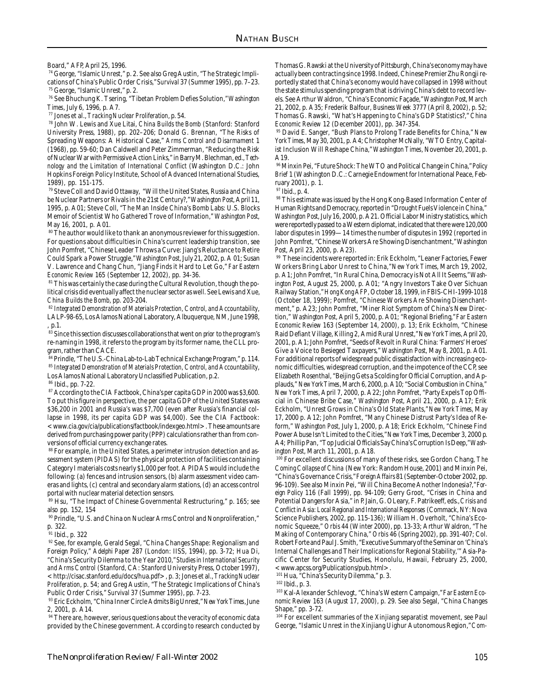Board," AFP, April 25, 1996.

74 George, "Islamic Unrest," p. 2. See also Greg Austin, "The Strategic Implications of China's Public Order Crisis," *Survival* 37 (Summer 1995), pp. 7–23. <sup>75</sup> George, "Islamic Unrest," p. 2.

<sup>76</sup> See Bhuchung K. Tsering, "Tibetan Problem Defies Solution," *Washington Times*, July 6, 1996, p. A7.

<sup>77</sup> Jones et al., *Tracking Nuclear Proliferation*, p. 54.

<sup>78</sup> John W. Lewis and Xue Litai, *China Builds the Bomb* (Stanford: Stanford University Press, 1988), pp. 202–206; Donald G. Brennan, "The Risks of Spreading Weapons: A Historical Case," *Arms Control and Disarmament* 1 (1968), pp. 59-60; Dan Caldwell and Peter Zimmerman, "Reducing the Risk of Nuclear War with Permissive Action Links," in Barry M. Blechman, ed., *Technology and the Limitation of International Conflict* (Washington D.C.: John Hopkins Foreign Policy Institute, School of Advanced International Studies, 1989), pp. 151-175.

<sup>79</sup> Steve Coll and David Ottaway, "Will the United States, Russia and China be Nuclear Partners or Rivals in the 21st Century?," *Washington Post*, April 11, 1995, p. A01; Steve Coll, "The Man Inside China's Bomb Labs: U.S. Blocks Memoir of Scientist Who Gathered Trove of Information," *Washington Post*, May 16, 2001, p. A01.

<sup>80</sup> The author would like to thank an anonymous reviewer for this suggestion. For questions about difficulties in China's current leadership transition, see John Pomfret, "Chinese Leader Throws a Curve: Jiang's Reluctance to Retire Could Spark a Power Struggle," *Washington Post*, July 21, 2002, p. A 01; Susan V. Lawrence and Chang Chun, "Jiang Finds it Hard to Let Go," *Far Eastern Economic Review* 165 (September 12, 2002), pp. 34-36.

<sup>81</sup> This was certainly the case during the Cultural Revolution, though the political crisis did eventually affect the nuclear sector as well. See Lewis and Xue, *China Builds the Bomb*, pp. 203-204.

<sup>82</sup> *Integrated Demonstration of Materials Protection, Control, and Accountability*, LALP-98-65, Los Alamos National Laboratory, Albuquerque, NM, June 1998, , p.1.

<sup>83</sup> Since this section discusses collaborations that went on *prior* to the program's re-naming in 1998, it refers to the program by its former name, the CLL program, rather than CACE.

<sup>84</sup> Prindle, "The U.S.-China Lab-to-Lab Technical Exchange Program," p. 114. <sup>85</sup> *Integrated Demonstration of Materials Protection, Control, and Accountability*, Los Alamos National Laboratory Unclassified Publication, p.2.

<sup>86</sup> Ibid., pp. 7-22.

<sup>87</sup> According to the CIA Factbook, China's per capita GDP in 2000 was \$3,600. To put this figure in perspective, the per capita GDP of the United States was \$36,200 in 2001 and Russia's was \$7,700 (even after Russia's financial collapse in 1998, its per capita GDP was \$4,000). See the CIA Factbook: < www.cia.gov/cia/publications/factbook/indexgeo.html>. These amounts are derived from purchasing power parity (PPP) calculations rather than from conversions of official currency exchange rates.

88 For example, in the United States, a perimeter intrusion detection and assessment system (PIDAS) for the physical protection of facilities containing Category I materials costs nearly \$1,000 per foot. A PIDAS would include the following: (a) fences and intrusion sensors, (b) alarm assessment video cameras and lights, (c) central and secondary alarm stations, (d) an access control portal with nuclear material detection sensors.

 $\frac{1}{89}$  Hsu, "The Impact of Chinese Governmental Restructuring," p. 165; see also pp. 152, 154

90 Prindle, "U.S. and China on Nuclear Arms Control and Nonproliferation," p. 322.

92 See, for example, Gerald Segal, "China Changes Shape: Regionalism and Foreign Policy," *Adelphi Paper* 287 (London: IISS, 1994), pp. 3-72; Hua Di, "China's Security Dilemma to the Year 2010," *Studies in International Security and Arms Control* (Stanford, CA: Stanford University Press, October 1997), <http://cisac.stanford.edu/docs/hua.pdf>, p. 3; Jones et al., *Tracking Nuclear Proliferation*, p. 54; and Greg Austin, "The Strategic Implications of China's Public Order Crisis," *Survival* 37 (Summer 1995), pp. 7-23.

<sup>93</sup> Eric Eckholm, "China Inner Circle Admits Big Unrest," *New York Times*, June 2, 2001, p. A14.

<sup>94</sup> There are, however, serious questions about the veracity of economic data provided by the Chinese government. According to research conducted by Thomas G. Rawski at the University of Pittsburgh, China's economy may have actually been contracting since 1998. Indeed, Chinese Premier Zhu Rongji reportedly stated that China's economy would have collapsed in 1998 without the state stimulus spending program that is driving China's debt to record levels. See Arthur Waldron, "China's Economic Façade," *Washington Post*, March 21, 2002, p. A35; Frederik Balfour, *Business Week* 3777 (April 8, 2002), p. 52; Thomas G. Rawski, "What's Happening to China's GDP Statistics?," *China Economic Review* 12 (December 2001), pp. 347-354.

<sup>95</sup> David E. Sanger, "Bush Plans to Prolong Trade Benefits for China," *New York Times*, May 30, 2001, p. A4; Christopher McNally, "WTO Entry, Capitalist Inclusion Will Reshape China," *Washington Times*, November 20, 2001, p. A19.

<sup>96</sup> Minxin Pei, "Future Shock: The WTO and Political Change in China," *Policy Brief* 1 (Washington D.C.: Carnegie Endowment for International Peace, February 2001), p. 1.

<sup>97</sup> Ibid., p. 4.

98 This estimate was issued by the Hong Kong-Based Information Center of Human Rights and Democracy, reported in "Drought Fuels Violence in China," *Washington Post*, July 16, 2000, p. A21. Official Labor Ministry statistics, which were reportedly passed to a Western diplomat, indicated that there were 120,000 labor disputes in 1999—14 times the number of disputes in 1992 (reported in John Pomfret, "Chinese Workers Are Showing Disenchantment," *Washington Post*, April 23, 2000, p. A23).

99 These incidents were reported in: Erik Eckholm, "Leaner Factories, Fewer Workers Bring Labor Unrest to China," *New York Times*, March 19, 2002, p. A1; John Pomfret, "In Rural China, Democracy is Not All It Seems," *Washington Post*, August 25, 2000, p. A01; "Angry Investors Take Over Sichuan Railway Station," *Hong Kong AFP*, October 18, 1999, in FBIS-CHI-1999-1018 (October 18, 1999); Pomfret, "Chinese Workers Are Showing Disenchantment," p. A23; John Pomfret, "Miner Riot Symptom of China's New Direction," *Washington Post*, April 5, 2000, p. A01; "Regional Briefing," *Far Eastern Economic Review* 163 (September 14, 2000), p. 13; Erik Eckholm, "Chinese Raid Defiant Village, Killing 2, Amid Rural Unrest," *New York Times*, April 20, 2001, p. A1; John Pomfret, "Seeds of Revolt in Rural China: 'Farmers' Heroes' Give a Voice to Besieged Taxpayers," *Washington Post*, May 8, 2001, p. A01. For additional reports of widespread public dissatisfaction with increasing economic difficulties, widespread corruption, and the impotence of the CCP, see Elizabeth Rosenthal, "Beijing Gets a Scolding for Official Corruption, and Applauds," *New York Times*, March 6, 2000, p. A10; "Social Combustion in China," *New York Times*, April 7, 2000, p. A22; John Pomfret, "Party Expels Top Official in Chinese Bribe Case," *Washington Post*, April 21, 2000, p. A17; Erik Eckholm, "Unrest Grows in China's Old State Plants," *New York Times*, May 17, 2000 p. A12; John Pomfret, "Many Chinese Distrust Party's Idea of Reform," *Washington Post*, July 1, 2000, p. A18; Erick Eckholm, "Chinese Find Power Abuse Isn't Limited to the Cities," *New York Times*, December 3, 2000 p. A4; Phillip Pan, "Top Judicial Officials Say China's Corruption Is Deep," *Washington Post*, March 11, 2001, p. A18.

<sup>100</sup> For excellent discussions of many of these risks, see Gordon Chang, *The Coming Collapse of China* (New York: Random House, 2001) and Minxin Pei, "China's Governance Crisis," *Foreign Affairs* 81 (September-October 2002, pp. 96-109). See also Minxin Pei, "Will China Become Another Indonesia?," *Foreign Policy* 116 (Fall 1999), pp. 94-109; Gerry Groot, "Crises in China and Potential Dangers for Asia," in P. Jain, G. OLeary, F. Patrikeeff, eds., *Crisis and Conflict in Asia: Local Regional and International Responses* (Commack, NY: Nova Science Publishers, 2002, pp. 115-136); William H. Overholt, "China's Economic Squeeze," *Orbis* 44 (Winter 2000), pp. 13-33; Arthur Waldron, "The Making of Contemporary China," *Orbis* 46 (Spring 2002), pp. 391-407; Col. Robert Forte and Paul J. Smith, "Executive Summary of the Seminar on 'China's Internal Challenges and Their Implications for Regional Stability,'" Asia-Pacific Center for Security Studies, Honolulu, Hawaii, February 25, 2000, < www.apcss.org/Publications/pub.html>.

101 Hua, "China's Security Dilemma," p. 3.

<sup>102</sup> Ibid., p. 3.

103 Kal-Alexander Schlevogt, "China's Western Campaign," *Far Eastern Economic Review* 163 (August 17, 2000), p. 29. See also Segal, "China Changes Shape," pp. 3-72.

<sup>104</sup> For excellent summaries of the Xinjiang separatist movement, see Paul George, "Islamic Unrest in the Xinjiang Uighur Autonomous Region," *Com-*

<sup>91</sup> Ibid., p. 322